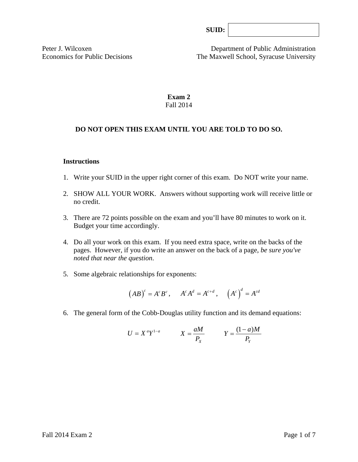| SUB: |  |
|------|--|
|      |  |

Peter J. Wilcoxen Department of Public Administration Economics for Public Decisions The Maxwell School, Syracuse University

## **Exam 2**  Fall 2014

### **DO NOT OPEN THIS EXAM UNTIL YOU ARE TOLD TO DO SO.**

#### **Instructions**

- 1. Write your SUID in the upper right corner of this exam. Do NOT write your name.
- 2. SHOW ALL YOUR WORK. Answers without supporting work will receive little or no credit.
- 3. There are 72 points possible on the exam and you'll have 80 minutes to work on it. Budget your time accordingly.
- 4. Do all your work on this exam. If you need extra space, write on the backs of the pages. However, if you do write an answer on the back of a page, *be sure you've noted that near the question*.
- 5. Some algebraic relationships for exponents:

$$
(AB)^c = A^c B^c
$$
,  $A^c A^d = A^{c+d}$ ,  $(A^c)^d = A^{cd}$ 

6. The general form of the Cobb-Douglas utility function and its demand equations:

$$
U = X^a Y^{1-a} \qquad X = \frac{aM}{P_X} \qquad Y = \frac{(1-a)M}{P_Y}
$$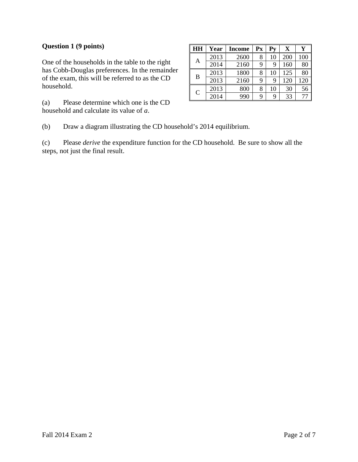## **Question 1 (9 points)**

One of the households in the table to the right has Cobb-Douglas preferences. In the remainder of the exam, this will be referred to as the CD household.

(a) Please determine which one is the CD household and calculate its value of *a*.

| HH            | Year | <b>Income</b> | Px | Pv | $\mathbf X$ | Y   |
|---------------|------|---------------|----|----|-------------|-----|
| A             | 2013 | 2600          | 8  | 10 | 200         | 100 |
|               | 2014 | 2160          | 9  | 9  | 160         | 80  |
| B             | 2013 | 1800          | 8  | 10 | 125         | 80  |
|               | 2013 | 2160          | 9  | 9  | 120         | 120 |
| $\mathcal{C}$ | 2013 | 800           | 8  | 10 | 30          | 56  |
|               | 2014 | 990           | 9  | 9  | 33          |     |

(b) Draw a diagram illustrating the CD household's 2014 equilibrium.

(c) Please *derive* the expenditure function for the CD household. Be sure to show all the steps, not just the final result.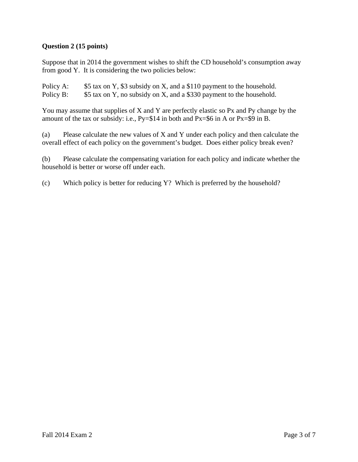## **Question 2 (15 points)**

Suppose that in 2014 the government wishes to shift the CD household's consumption away from good Y. It is considering the two policies below:

Policy A: \$5 tax on Y, \$3 subsidy on X, and a \$110 payment to the household. Policy B: \$5 tax on Y, no subsidy on X, and a \$330 payment to the household.

You may assume that supplies of X and Y are perfectly elastic so Px and Py change by the amount of the tax or subsidy: i.e., Py=\$14 in both and Px=\$6 in A or Px=\$9 in B.

(a) Please calculate the new values of X and Y under each policy and then calculate the overall effect of each policy on the government's budget. Does either policy break even?

(b) Please calculate the compensating variation for each policy and indicate whether the household is better or worse off under each.

(c) Which policy is better for reducing Y? Which is preferred by the household?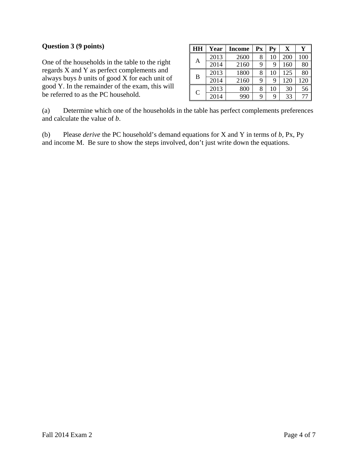#### **Question 3 (9 points)**

One of the households in the table to the right regards X and Y as perfect complements and always buys *b* units of good X for each unit of good Y. In the remainder of the exam, this will be referred to as the PC household.

| HH            | Year | Income | Px | Pv | $\mathbf X$ |     |
|---------------|------|--------|----|----|-------------|-----|
| A             | 2013 | 2600   | 8  | 10 | 200         | 100 |
|               | 2014 | 2160   | 9  | 9  | 160         | 80  |
| B             | 2013 | 1800   | 8  | 10 | 125         | 80  |
|               | 2014 | 2160   | 9  | 9  | 120         | 120 |
| $\mathcal{C}$ | 2013 | 800    | 8  | 10 | 30          | 56  |
|               | 2014 | 990    | 9  | 9  | 33          | 77  |

(a) Determine which one of the households in the table has perfect complements preferences and calculate the value of *b*.

(b) Please *derive* the PC household's demand equations for X and Y in terms of *b,* Px, Py and income M. Be sure to show the steps involved, don't just write down the equations.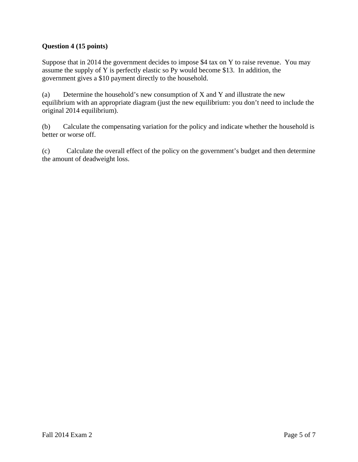# **Question 4 (15 points)**

Suppose that in 2014 the government decides to impose \$4 tax on Y to raise revenue. You may assume the supply of Y is perfectly elastic so Py would become \$13. In addition, the government gives a \$10 payment directly to the household.

(a) Determine the household's new consumption of X and Y and illustrate the new equilibrium with an appropriate diagram (just the new equilibrium: you don't need to include the original 2014 equilibrium).

(b) Calculate the compensating variation for the policy and indicate whether the household is better or worse off.

(c) Calculate the overall effect of the policy on the government's budget and then determine the amount of deadweight loss.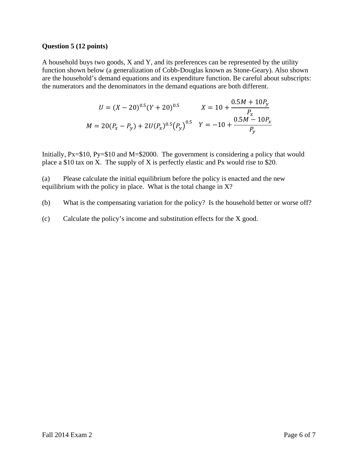#### **Question 5 (12 points)**

A household buys two goods, X and Y, and its preferences can be represented by the utility function shown below (a generalization of Cobb-Douglas known as Stone-Geary). Also shown are the household's demand equations and its expenditure function. Be careful about subscripts: the numerators and the denominators in the demand equations are both different.

$$
U = (X - 20)^{0.5} (Y + 20)^{0.5}
$$

$$
X = 10 + \frac{0.5M + 10P_y}{P_x}
$$

$$
M = 20(P_x - P_y) + 2U(P_x)^{0.5} (P_y)^{0.5}
$$

$$
Y = -10 + \frac{0.5M - 10P_x}{P_y}
$$

Initially, Px=\$10, Py=\$10 and M=\$2000. The government is considering a policy that would place a \$10 tax on X. The supply of X is perfectly elastic and Px would rise to \$20.

(a) Please calculate the initial equilibrium before the policy is enacted and the new equilibrium with the policy in place. What is the total change in X?

(b) What is the compensating variation for the policy? Is the household better or worse off?

(c) Calculate the policy's income and substitution effects for the X good.